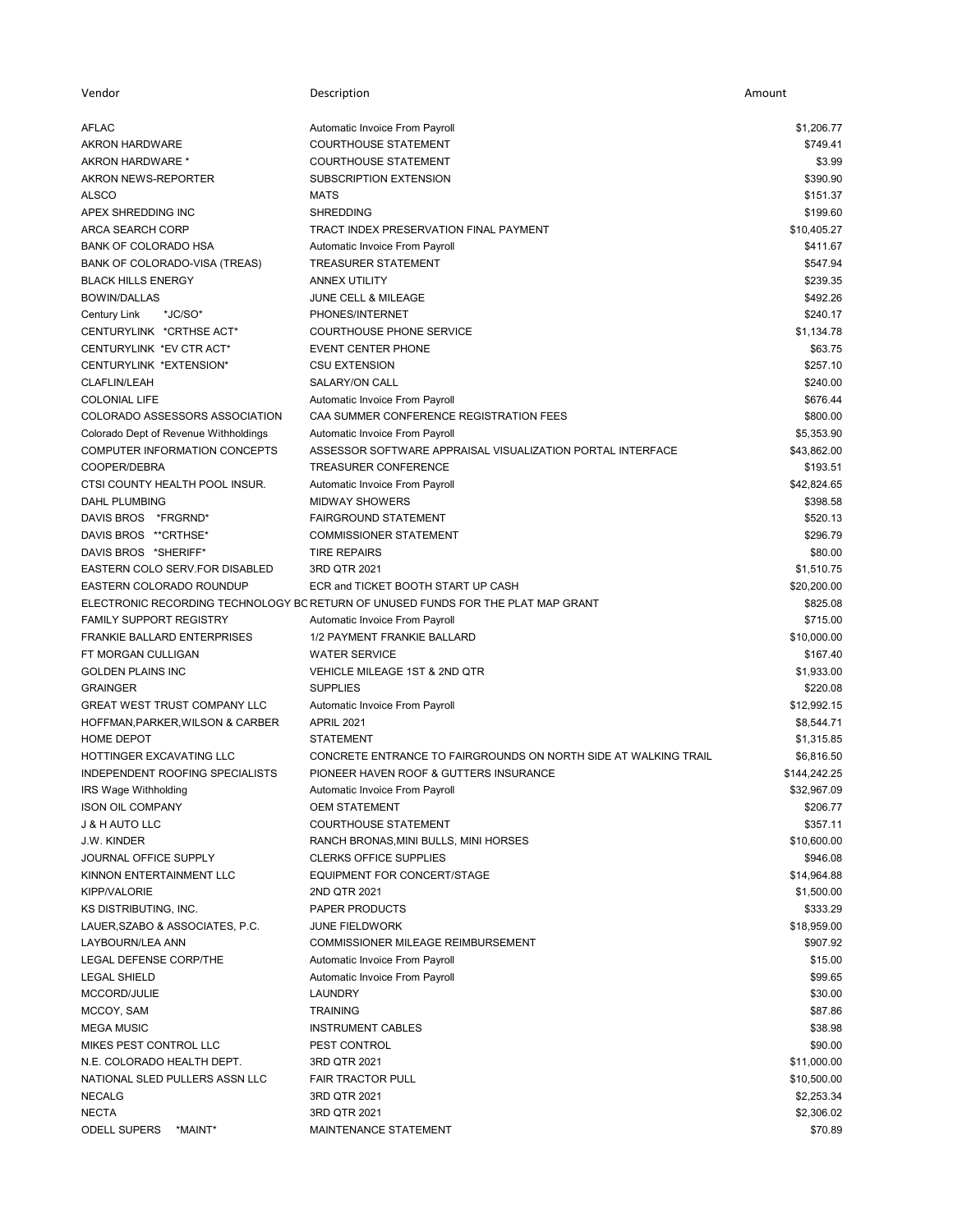| Vendor                                       | Description                                                                      | Amount       |
|----------------------------------------------|----------------------------------------------------------------------------------|--------------|
| AFLAC                                        | Automatic Invoice From Payroll                                                   | \$1,206.77   |
| <b>AKRON HARDWARE</b>                        | <b>COURTHOUSE STATEMENT</b>                                                      | \$749.41     |
| AKRON HARDWARE *                             | <b>COURTHOUSE STATEMENT</b>                                                      | \$3.99       |
| AKRON NEWS-REPORTER                          | SUBSCRIPTION EXTENSION                                                           | \$390.90     |
| <b>ALSCO</b>                                 | <b>MATS</b>                                                                      | \$151.37     |
| APEX SHREDDING INC                           | <b>SHREDDING</b>                                                                 | \$199.60     |
| ARCA SEARCH CORP                             | TRACT INDEX PRESERVATION FINAL PAYMENT                                           | \$10,405.27  |
| BANK OF COLORADO HSA                         | Automatic Invoice From Payroll                                                   | \$411.67     |
| BANK OF COLORADO-VISA (TREAS)                | <b>TREASURER STATEMENT</b>                                                       | \$547.94     |
| <b>BLACK HILLS ENERGY</b>                    | <b>ANNEX UTILITY</b>                                                             | \$239.35     |
| <b>BOWIN/DALLAS</b>                          | JUNE CELL & MILEAGE                                                              | \$492.26     |
| <b>Century Link</b><br>*JC/SO*               | PHONES/INTERNET                                                                  | \$240.17     |
| CENTURYLINK *CRTHSE ACT*                     | <b>COURTHOUSE PHONE SERVICE</b>                                                  | \$1,134.78   |
| CENTURYLINK *EV CTR ACT*                     | <b>EVENT CENTER PHONE</b>                                                        | \$63.75      |
| CENTURYLINK *EXTENSION*                      | <b>CSU EXTENSION</b>                                                             | \$257.10     |
| <b>CLAFLIN/LEAH</b>                          | SALARY/ON CALL                                                                   | \$240.00     |
| <b>COLONIAL LIFE</b>                         | Automatic Invoice From Payroll                                                   | \$676.44     |
| COLORADO ASSESSORS ASSOCIATION               | CAA SUMMER CONFERENCE REGISTRATION FEES                                          | \$800.00     |
| Colorado Dept of Revenue Withholdings        | Automatic Invoice From Payroll                                                   | \$5,353.90   |
| COMPUTER INFORMATION CONCEPTS                | ASSESSOR SOFTWARE APPRAISAL VISUALIZATION PORTAL INTERFACE                       | \$43,862.00  |
| COOPER/DEBRA                                 | <b>TREASURER CONFERENCE</b>                                                      | \$193.51     |
| CTSI COUNTY HEALTH POOL INSUR.               | Automatic Invoice From Payroll                                                   | \$42,824.65  |
| <b>DAHL PLUMBING</b>                         | <b>MIDWAY SHOWERS</b>                                                            | \$398.58     |
|                                              |                                                                                  | \$520.13     |
| DAVIS BROS *FRGRND*<br>DAVIS BROS ** CRTHSE* | <b>FAIRGROUND STATEMENT</b><br><b>COMMISSIONER STATEMENT</b>                     |              |
|                                              |                                                                                  | \$296.79     |
| DAVIS BROS *SHERIFF*                         | <b>TIRE REPAIRS</b>                                                              | \$80.00      |
| EASTERN COLO SERV.FOR DISABLED               | 3RD QTR 2021<br>ECR and TICKET BOOTH START UP CASH                               | \$1,510.75   |
| EASTERN COLORADO ROUNDUP                     |                                                                                  | \$20,200.00  |
|                                              | ELECTRONIC RECORDING TECHNOLOGY BC RETURN OF UNUSED FUNDS FOR THE PLAT MAP GRANT | \$825.08     |
| <b>FAMILY SUPPORT REGISTRY</b>               | Automatic Invoice From Payroll                                                   | \$715.00     |
| <b>FRANKIE BALLARD ENTERPRISES</b>           | 1/2 PAYMENT FRANKIE BALLARD                                                      | \$10,000.00  |
| FT MORGAN CULLIGAN                           | <b>WATER SERVICE</b>                                                             | \$167.40     |
| <b>GOLDEN PLAINS INC</b>                     | VEHICLE MILEAGE 1ST & 2ND QTR                                                    | \$1,933.00   |
| <b>GRAINGER</b>                              | <b>SUPPLIES</b>                                                                  | \$220.08     |
| <b>GREAT WEST TRUST COMPANY LLC</b>          | Automatic Invoice From Payroll                                                   | \$12,992.15  |
| HOFFMAN, PARKER, WILSON & CARBER             | <b>APRIL 2021</b>                                                                | \$8.544.71   |
| HOME DEPOT                                   | <b>STATEMENT</b>                                                                 | \$1,315.85   |
| HOTTINGER EXCAVATING LLC                     | CONCRETE ENTRANCE TO FAIRGROUNDS ON NORTH SIDE AT WALKING TRAIL                  | \$6,816.50   |
| INDEPENDENT ROOFING SPECIALISTS              | PIONEER HAVEN ROOF & GUTTERS INSURANCE                                           | \$144,242.25 |
| IRS Wage Withholding                         | Automatic Invoice From Payroll                                                   | \$32,967.09  |
| <b>ISON OIL COMPANY</b>                      | <b>OEM STATEMENT</b>                                                             | \$206.77     |
| <b>J &amp; H AUTO LLC</b>                    | <b>COURTHOUSE STATEMENT</b>                                                      | \$357.11     |
| J.W. KINDER                                  | RANCH BRONAS, MINI BULLS, MINI HORSES                                            | \$10,600.00  |
| <b>JOURNAL OFFICE SUPPLY</b>                 | <b>CLERKS OFFICE SUPPLIES</b>                                                    | \$946.08     |
| KINNON ENTERTAINMENT LLC                     | EQUIPMENT FOR CONCERT/STAGE                                                      | \$14,964.88  |
| <b>KIPP/VALORIE</b>                          | 2ND QTR 2021                                                                     | \$1,500.00   |
| KS DISTRIBUTING, INC.                        | PAPER PRODUCTS                                                                   | \$333.29     |
| LAUER, SZABO & ASSOCIATES, P.C.              | <b>JUNE FIELDWORK</b>                                                            | \$18,959.00  |
| LAYBOURN/LEA ANN                             | <b>COMMISSIONER MILEAGE REIMBURSEMENT</b>                                        | \$907.92     |
| LEGAL DEFENSE CORP/THE                       | Automatic Invoice From Payroll                                                   | \$15.00      |
| <b>LEGAL SHIELD</b>                          | Automatic Invoice From Payroll                                                   | \$99.65      |
| MCCORD/JULIE                                 | LAUNDRY                                                                          | \$30.00      |
| MCCOY, SAM                                   | <b>TRAINING</b>                                                                  | \$87.86      |
| <b>MEGA MUSIC</b>                            | <b>INSTRUMENT CABLES</b>                                                         | \$38.98      |
| MIKES PEST CONTROL LLC                       | PEST CONTROL                                                                     | \$90.00      |
| N.E. COLORADO HEALTH DEPT.                   | 3RD QTR 2021                                                                     | \$11,000.00  |
| NATIONAL SLED PULLERS ASSN LLC               | <b>FAIR TRACTOR PULL</b>                                                         | \$10,500.00  |
| <b>NECALG</b>                                | 3RD QTR 2021                                                                     | \$2,253.34   |
| <b>NECTA</b>                                 | 3RD QTR 2021                                                                     | \$2,306.02   |
| <b>ODELL SUPERS</b><br>*MAINT*               | MAINTENANCE STATEMENT                                                            | \$70.89      |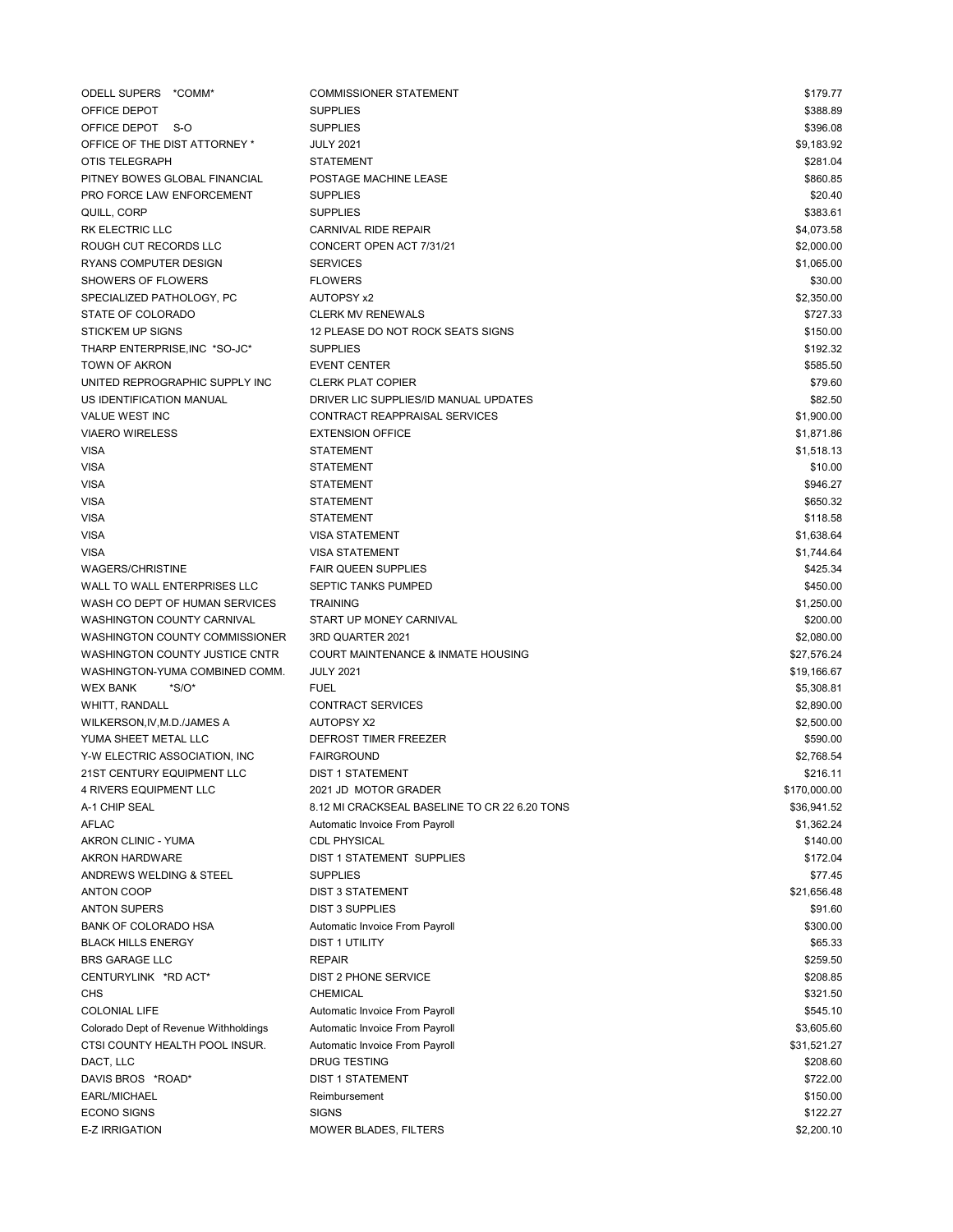| ODELL SUPERS *COMM*                   | <b>COMMISSIONER STATEMENT</b>                 | \$179.77     |
|---------------------------------------|-----------------------------------------------|--------------|
| OFFICE DEPOT                          | <b>SUPPLIES</b>                               | \$388.89     |
| OFFICE DEPOT S-O                      | <b>SUPPLIES</b>                               | \$396.08     |
| OFFICE OF THE DIST ATTORNEY *         | <b>JULY 2021</b>                              | \$9,183.92   |
| OTIS TELEGRAPH                        | <b>STATEMENT</b>                              | \$281.04     |
| PITNEY BOWES GLOBAL FINANCIAL         | POSTAGE MACHINE LEASE                         | \$860.85     |
| PRO FORCE LAW ENFORCEMENT             | <b>SUPPLIES</b>                               | \$20.40      |
| QUILL, CORP                           | <b>SUPPLIES</b>                               | \$383.61     |
| RK ELECTRIC LLC                       | <b>CARNIVAL RIDE REPAIR</b>                   | \$4,073.58   |
| ROUGH CUT RECORDS LLC                 | CONCERT OPEN ACT 7/31/21                      | \$2,000.00   |
| <b>RYANS COMPUTER DESIGN</b>          | <b>SERVICES</b>                               | \$1,065.00   |
| SHOWERS OF FLOWERS                    | <b>FLOWERS</b>                                | \$30.00      |
| SPECIALIZED PATHOLOGY, PC             | <b>AUTOPSY x2</b>                             | \$2,350.00   |
| STATE OF COLORADO                     | <b>CLERK MV RENEWALS</b>                      | \$727.33     |
| <b>STICK'EM UP SIGNS</b>              | 12 PLEASE DO NOT ROCK SEATS SIGNS             | \$150.00     |
| THARP ENTERPRISE, INC *SO-JC*         | <b>SUPPLIES</b>                               | \$192.32     |
| <b>TOWN OF AKRON</b>                  | <b>EVENT CENTER</b>                           | \$585.50     |
| UNITED REPROGRAPHIC SUPPLY INC        | <b>CLERK PLAT COPIER</b>                      | \$79.60      |
| US IDENTIFICATION MANUAL              | DRIVER LIC SUPPLIES/ID MANUAL UPDATES         | \$82.50      |
| <b>VALUE WEST INC</b>                 | CONTRACT REAPPRAISAL SERVICES                 | \$1,900.00   |
|                                       |                                               |              |
| <b>VIAERO WIRELESS</b>                | <b>EXTENSION OFFICE</b>                       | \$1,871.86   |
| <b>VISA</b>                           | <b>STATEMENT</b>                              | \$1,518.13   |
| <b>VISA</b>                           | <b>STATEMENT</b>                              | \$10.00      |
| <b>VISA</b>                           | <b>STATEMENT</b>                              | \$946.27     |
| <b>VISA</b>                           | <b>STATEMENT</b>                              | \$650.32     |
| <b>VISA</b>                           | <b>STATEMENT</b>                              | \$118.58     |
| <b>VISA</b>                           | <b>VISA STATEMENT</b>                         | \$1,638.64   |
| VISA                                  | <b>VISA STATEMENT</b>                         | \$1,744.64   |
| <b>WAGERS/CHRISTINE</b>               | <b>FAIR QUEEN SUPPLIES</b>                    | \$425.34     |
| WALL TO WALL ENTERPRISES LLC          | SEPTIC TANKS PUMPED                           | \$450.00     |
| WASH CO DEPT OF HUMAN SERVICES        | <b>TRAINING</b>                               | \$1,250.00   |
| WASHINGTON COUNTY CARNIVAL            | START UP MONEY CARNIVAL                       | \$200.00     |
| WASHINGTON COUNTY COMMISSIONER        | 3RD QUARTER 2021                              | \$2,080.00   |
| WASHINGTON COUNTY JUSTICE CNTR        | COURT MAINTENANCE & INMATE HOUSING            | \$27,576.24  |
| WASHINGTON-YUMA COMBINED COMM.        | <b>JULY 2021</b>                              | \$19,166.67  |
| <b>WEX BANK</b><br>$*S/O*$            | <b>FUEL</b>                                   | \$5,308.81   |
| WHITT, RANDALL                        | <b>CONTRACT SERVICES</b>                      | \$2,890.00   |
| WILKERSON, IV, M.D./JAMES A           | <b>AUTOPSY X2</b>                             | \$2,500.00   |
| YUMA SHEET METAL LLC                  | DEFROST TIMER FREEZER                         | \$590.00     |
| Y-W ELECTRIC ASSOCIATION. INC         | <b>FAIRGROUND</b>                             | \$2,768.54   |
| 21ST CENTURY EQUIPMENT LLC            | <b>DIST 1 STATEMENT</b>                       | \$216.11     |
| 4 RIVERS EQUIPMENT LLC                | 2021 JD MOTOR GRADER                          | \$170,000.00 |
| A-1 CHIP SEAL                         | 8.12 MI CRACKSEAL BASELINE TO CR 22 6.20 TONS | \$36,941.52  |
| <b>AFLAC</b>                          | Automatic Invoice From Payroll                | \$1,362.24   |
| AKRON CLINIC - YUMA                   | <b>CDL PHYSICAL</b>                           | \$140.00     |
| <b>AKRON HARDWARE</b>                 | DIST 1 STATEMENT SUPPLIES                     | \$172.04     |
| ANDREWS WELDING & STEEL               | <b>SUPPLIES</b>                               | \$77.45      |
| <b>ANTON COOP</b>                     | <b>DIST 3 STATEMENT</b>                       | \$21,656.48  |
|                                       |                                               |              |
| <b>ANTON SUPERS</b>                   | <b>DIST 3 SUPPLIES</b>                        | \$91.60      |
| <b>BANK OF COLORADO HSA</b>           | Automatic Invoice From Payroll                | \$300.00     |
| <b>BLACK HILLS ENERGY</b>             | <b>DIST 1 UTILITY</b>                         | \$65.33      |
| <b>BRS GARAGE LLC</b>                 | <b>REPAIR</b>                                 | \$259.50     |
| CENTURYLINK *RD ACT*                  | <b>DIST 2 PHONE SERVICE</b>                   | \$208.85     |
| CHS                                   | <b>CHEMICAL</b>                               | \$321.50     |
| <b>COLONIAL LIFE</b>                  | Automatic Invoice From Payroll                | \$545.10     |
| Colorado Dept of Revenue Withholdings | Automatic Invoice From Payroll                | \$3,605.60   |
| CTSI COUNTY HEALTH POOL INSUR.        | Automatic Invoice From Payroll                | \$31,521.27  |
| DACT, LLC                             | <b>DRUG TESTING</b>                           | \$208.60     |
| DAVIS BROS *ROAD*                     | <b>DIST 1 STATEMENT</b>                       | \$722.00     |
| EARL/MICHAEL                          | Reimbursement                                 | \$150.00     |
| <b>ECONO SIGNS</b>                    | <b>SIGNS</b>                                  | \$122.27     |
| E-Z IRRIGATION                        | MOWER BLADES, FILTERS                         | \$2,200.10   |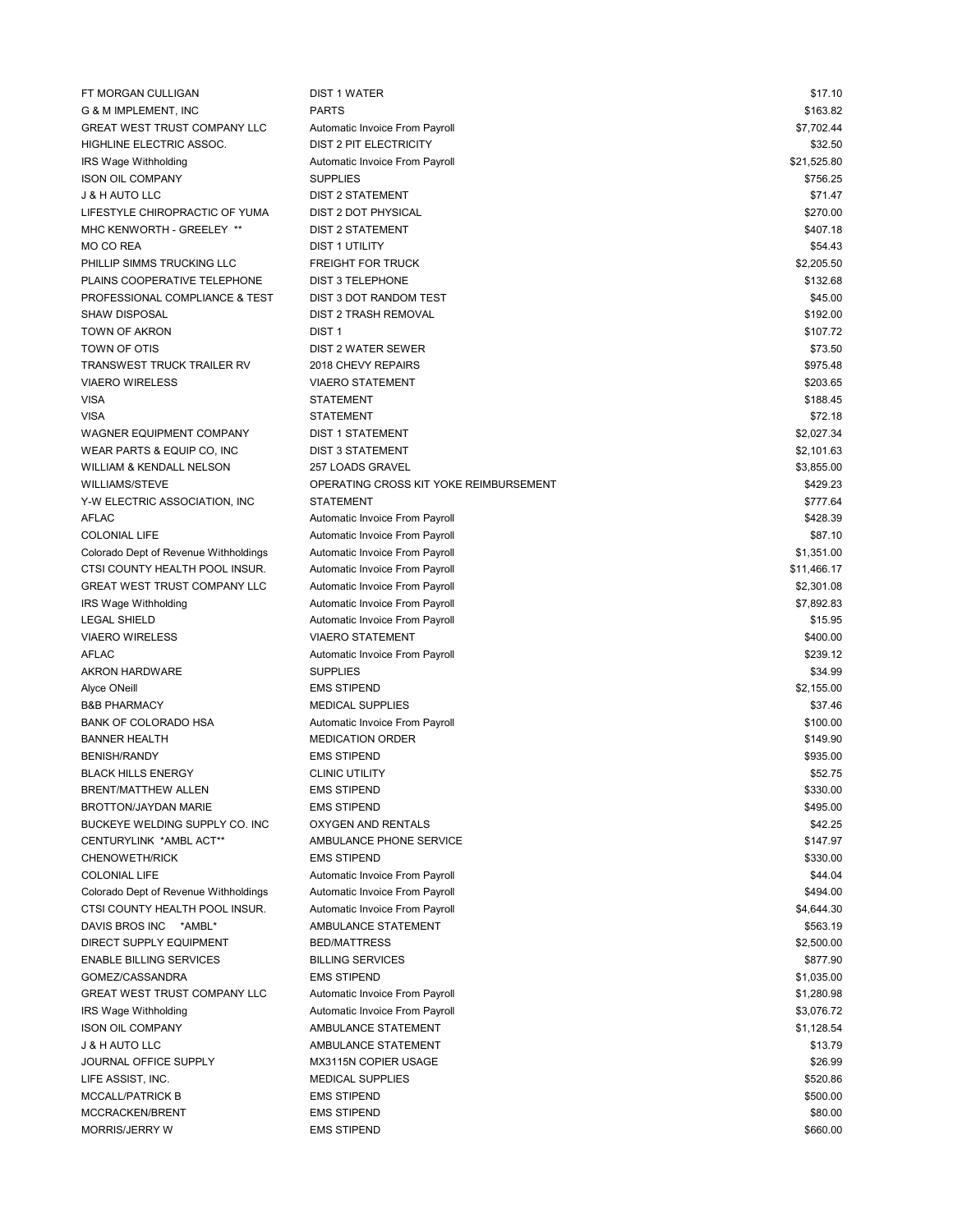| FT MORGAN CULLIGAN                    | <b>DIST 1 WATER</b>                    | \$17.10     |
|---------------------------------------|----------------------------------------|-------------|
| G & M IMPLEMENT, INC                  | <b>PARTS</b>                           | \$163.82    |
| <b>GREAT WEST TRUST COMPANY LLC</b>   | Automatic Invoice From Payroll         | \$7,702.44  |
| HIGHLINE ELECTRIC ASSOC.              | <b>DIST 2 PIT ELECTRICITY</b>          | \$32.50     |
| IRS Wage Withholding                  | Automatic Invoice From Payroll         | \$21,525.80 |
| <b>ISON OIL COMPANY</b>               | <b>SUPPLIES</b>                        | \$756.25    |
| <b>J &amp; H AUTO LLC</b>             | <b>DIST 2 STATEMENT</b>                | \$71.47     |
| LIFESTYLE CHIROPRACTIC OF YUMA        | DIST 2 DOT PHYSICAL                    | \$270.00    |
| MHC KENWORTH - GREELEY **             | <b>DIST 2 STATEMENT</b>                | \$407.18    |
| MO CO REA                             | <b>DIST 1 UTILITY</b>                  | \$54.43     |
| PHILLIP SIMMS TRUCKING LLC            | <b>FREIGHT FOR TRUCK</b>               | \$2,205.50  |
| PLAINS COOPERATIVE TELEPHONE          | <b>DIST 3 TELEPHONE</b>                | \$132.68    |
| PROFESSIONAL COMPLIANCE & TEST        | DIST 3 DOT RANDOM TEST                 | \$45.00     |
| <b>SHAW DISPOSAL</b>                  | <b>DIST 2 TRASH REMOVAL</b>            | \$192.00    |
|                                       |                                        |             |
| <b>TOWN OF AKRON</b>                  | DIST <sub>1</sub>                      | \$107.72    |
| TOWN OF OTIS                          | DIST 2 WATER SEWER                     | \$73.50     |
| <b>TRANSWEST TRUCK TRAILER RV</b>     | 2018 CHEVY REPAIRS                     | \$975.48    |
| <b>VIAERO WIRELESS</b>                | <b>VIAERO STATEMENT</b>                | \$203.65    |
| VISA                                  | <b>STATEMENT</b>                       | \$188.45    |
| <b>VISA</b>                           | <b>STATEMENT</b>                       | \$72.18     |
| WAGNER EQUIPMENT COMPANY              | <b>DIST 1 STATEMENT</b>                | \$2,027.34  |
| WEAR PARTS & EQUIP CO, INC            | <b>DIST 3 STATEMENT</b>                | \$2,101.63  |
| <b>WILLIAM &amp; KENDALL NELSON</b>   | 257 LOADS GRAVEL                       | \$3,855.00  |
| <b>WILLIAMS/STEVE</b>                 | OPERATING CROSS KIT YOKE REIMBURSEMENT | \$429.23    |
| Y-W ELECTRIC ASSOCIATION, INC         | <b>STATEMENT</b>                       | \$777.64    |
| <b>AFLAC</b>                          | Automatic Invoice From Payroll         | \$428.39    |
| <b>COLONIAL LIFE</b>                  | Automatic Invoice From Payroll         | \$87.10     |
| Colorado Dept of Revenue Withholdings | Automatic Invoice From Payroll         | \$1,351.00  |
| CTSI COUNTY HEALTH POOL INSUR.        | Automatic Invoice From Payroll         | \$11,466.17 |
| GREAT WEST TRUST COMPANY LLC          | Automatic Invoice From Payroll         | \$2,301.08  |
| IRS Wage Withholding                  | Automatic Invoice From Payroll         | \$7,892.83  |
| <b>LEGAL SHIELD</b>                   | Automatic Invoice From Payroll         | \$15.95     |
| <b>VIAERO WIRELESS</b>                | <b>VIAERO STATEMENT</b>                | \$400.00    |
| <b>AFLAC</b>                          | Automatic Invoice From Payroll         | \$239.12    |
| <b>AKRON HARDWARE</b>                 | <b>SUPPLIES</b>                        | \$34.99     |
| Alyce ONeill                          | <b>EMS STIPEND</b>                     | \$2,155.00  |
| <b>B&amp;B PHARMACY</b>               | <b>MEDICAL SUPPLIES</b>                | \$37.46     |
| <b>BANK OF COLORADO HSA</b>           | Automatic Invoice From Payroll         | \$100.00    |
| <b>BANNER HEALTH</b>                  | <b>MEDICATION ORDER</b>                | \$149.90    |
|                                       | <b>EMS STIPEND</b>                     |             |
| <b>BENISH/RANDY</b>                   |                                        | \$935.00    |
| <b>BLACK HILLS ENERGY</b>             | <b>CLINIC UTILITY</b>                  | \$52.75     |
| BRENT/MATTHEW ALLEN                   | <b>EMS STIPEND</b>                     | \$330.00    |
| <b>BROTTON/JAYDAN MARIE</b>           | <b>EMS STIPEND</b>                     | \$495.00    |
| BUCKEYE WELDING SUPPLY CO. INC        | OXYGEN AND RENTALS                     | \$42.25     |
| CENTURYLINK *AMBL ACT**               | AMBULANCE PHONE SERVICE                | \$147.97    |
| <b>CHENOWETH/RICK</b>                 | <b>EMS STIPEND</b>                     | \$330.00    |
| <b>COLONIAL LIFE</b>                  | Automatic Invoice From Payroll         | \$44.04     |
| Colorado Dept of Revenue Withholdings | Automatic Invoice From Payroll         | \$494.00    |
| CTSI COUNTY HEALTH POOL INSUR.        | Automatic Invoice From Payroll         | \$4,644.30  |
| DAVIS BROS INC *AMBL*                 | AMBULANCE STATEMENT                    | \$563.19    |
| DIRECT SUPPLY EQUIPMENT               | <b>BED/MATTRESS</b>                    | \$2,500.00  |
| <b>ENABLE BILLING SERVICES</b>        | <b>BILLING SERVICES</b>                | \$877.90    |
| GOMEZ/CASSANDRA                       | <b>EMS STIPEND</b>                     | \$1,035.00  |
| <b>GREAT WEST TRUST COMPANY LLC</b>   | Automatic Invoice From Payroll         | \$1,280.98  |
| IRS Wage Withholding                  | Automatic Invoice From Payroll         | \$3,076.72  |
| <b>ISON OIL COMPANY</b>               | AMBULANCE STATEMENT                    | \$1,128.54  |
| J & H AUTO LLC                        | AMBULANCE STATEMENT                    | \$13.79     |
| JOURNAL OFFICE SUPPLY                 | MX3115N COPIER USAGE                   | \$26.99     |
| LIFE ASSIST, INC.                     | <b>MEDICAL SUPPLIES</b>                | \$520.86    |
| <b>MCCALL/PATRICK B</b>               | <b>EMS STIPEND</b>                     | \$500.00    |
| MCCRACKEN/BRENT                       | <b>EMS STIPEND</b>                     | \$80.00     |
| <b>MORRIS/JERRY W</b>                 | <b>EMS STIPEND</b>                     | \$660.00    |
|                                       |                                        |             |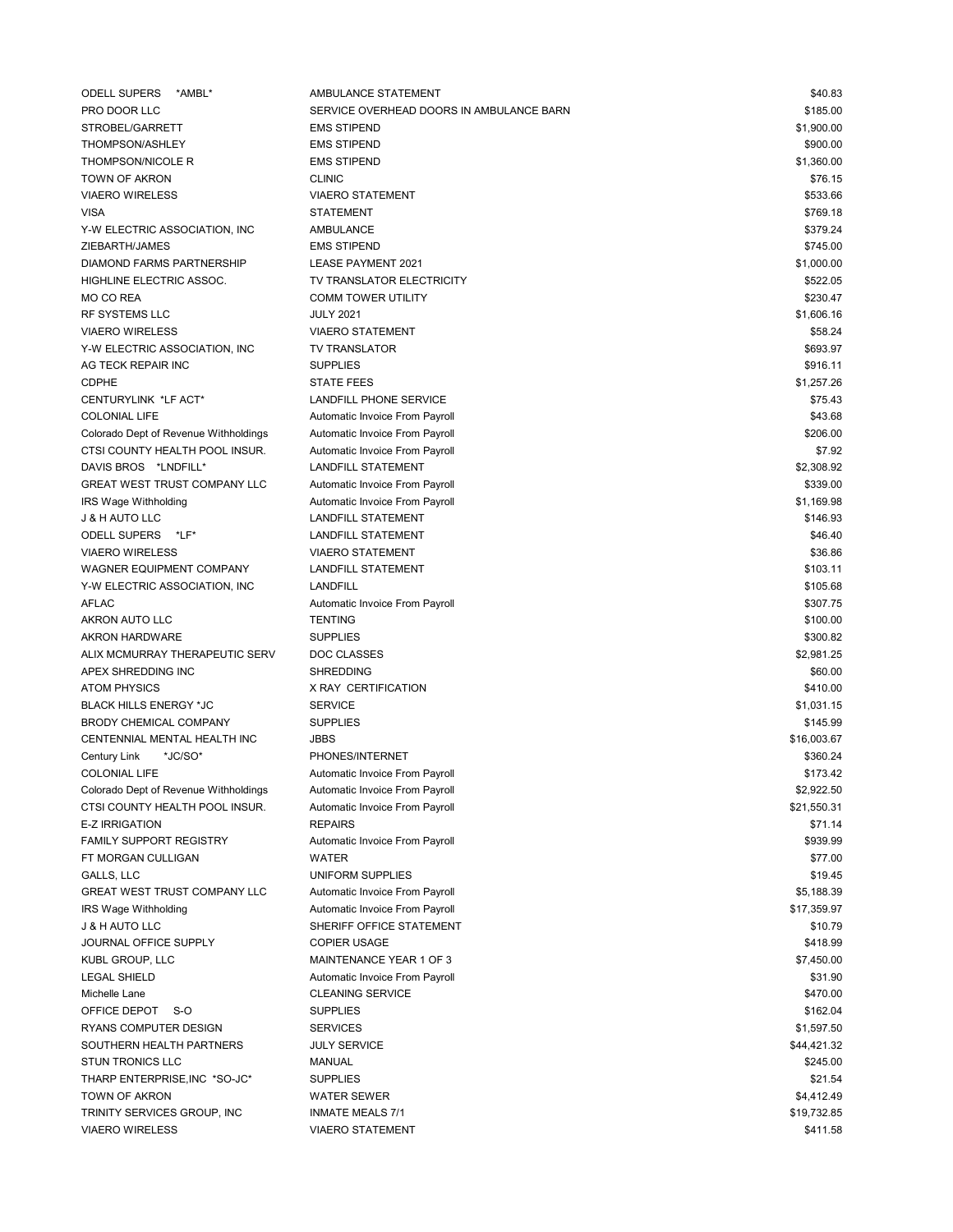| <b>ODELL SUPERS</b><br>*AMBL`                    | AMBULANCE STATEMENT                                              | \$40.83     |
|--------------------------------------------------|------------------------------------------------------------------|-------------|
| PRO DOOR LLC                                     | SERVICE OVERHEAD DOORS IN AMBULANCE BARN                         | \$185.00    |
| STROBEL/GARRETT                                  | <b>EMS STIPEND</b>                                               | \$1,900.00  |
| THOMPSON/ASHLEY                                  | <b>EMS STIPEND</b>                                               | \$900.00    |
| <b>THOMPSON/NICOLE R</b>                         | <b>EMS STIPEND</b>                                               | \$1,360.00  |
| <b>TOWN OF AKRON</b>                             | <b>CLINIC</b>                                                    | \$76.15     |
| <b>VIAERO WIRELESS</b>                           | <b>VIAERO STATEMENT</b>                                          | \$533.66    |
| <b>VISA</b>                                      | <b>STATEMENT</b>                                                 | \$769.18    |
| Y-W ELECTRIC ASSOCIATION, INC                    | <b>AMBULANCE</b>                                                 | \$379.24    |
| ZIEBARTH/JAMES                                   | <b>EMS STIPEND</b>                                               | \$745.00    |
| DIAMOND FARMS PARTNERSHIP                        | <b>LEASE PAYMENT 2021</b>                                        | \$1,000.00  |
| HIGHLINE ELECTRIC ASSOC.                         | TV TRANSLATOR ELECTRICITY                                        | \$522.05    |
| MO CO REA                                        | <b>COMM TOWER UTILITY</b>                                        | \$230.47    |
| RF SYSTEMS LLC                                   | <b>JULY 2021</b>                                                 | \$1,606.16  |
| <b>VIAERO WIRELESS</b>                           | <b>VIAERO STATEMENT</b>                                          | \$58.24     |
| Y-W ELECTRIC ASSOCIATION, INC.                   | <b>TV TRANSLATOR</b>                                             | \$693.97    |
| AG TECK REPAIR INC                               | <b>SUPPLIES</b>                                                  | \$916.11    |
| <b>CDPHE</b>                                     | <b>STATE FEES</b>                                                | \$1,257.26  |
| CENTURYLINK *LF ACT*                             | LANDFILL PHONE SERVICE                                           | \$75.43     |
| <b>COLONIAL LIFE</b>                             | Automatic Invoice From Payroll                                   | \$43.68     |
| Colorado Dept of Revenue Withholdings            | Automatic Invoice From Payroll                                   | \$206.00    |
| CTSI COUNTY HEALTH POOL INSUR.                   | Automatic Invoice From Payroll                                   | \$7.92      |
| DAVIS BROS *LNDFILL*                             | <b>LANDFILL STATEMENT</b>                                        | \$2,308.92  |
| GREAT WEST TRUST COMPANY LLC                     | Automatic Invoice From Payroll                                   | \$339.00    |
| IRS Wage Withholding                             | Automatic Invoice From Payroll                                   | \$1,169.98  |
| <b>J &amp; H AUTO LLC</b>                        | <b>LANDFILL STATEMENT</b>                                        | \$146.93    |
| ODELL SUPERS *LF*                                | <b>LANDFILL STATEMENT</b>                                        | \$46.40     |
| <b>VIAERO WIRELESS</b>                           | <b>VIAERO STATEMENT</b>                                          | \$36.86     |
| WAGNER EQUIPMENT COMPANY                         | <b>LANDFILL STATEMENT</b>                                        | \$103.11    |
| Y-W ELECTRIC ASSOCIATION, INC.                   | <b>LANDFILL</b>                                                  | \$105.68    |
| <b>AFLAC</b>                                     | Automatic Invoice From Payroll                                   | \$307.75    |
| AKRON AUTO LLC                                   | <b>TENTING</b>                                                   | \$100.00    |
| <b>AKRON HARDWARE</b>                            | <b>SUPPLIES</b>                                                  | \$300.82    |
| ALIX MCMURRAY THERAPEUTIC SERV                   | <b>DOC CLASSES</b>                                               | \$2,981.25  |
| APEX SHREDDING INC                               | <b>SHREDDING</b>                                                 | \$60.00     |
| <b>ATOM PHYSICS</b>                              | X RAY CERTIFICATION                                              | \$410.00    |
| <b>BLACK HILLS ENERGY *JC</b>                    | <b>SERVICE</b>                                                   | \$1,031.15  |
| BRODY CHEMICAL COMPANY                           | <b>SUPPLIES</b>                                                  | \$145.99    |
| CENTENNIAL MENTAL HEALTH INC                     | <b>JBBS</b>                                                      | \$16,003.67 |
| Century Link<br>*JC/SO*                          | PHONES/INTERNET                                                  | \$360.24    |
| <b>COLONIAL LIFE</b>                             |                                                                  | \$173.42    |
| Colorado Dept of Revenue Withholdings            | Automatic Invoice From Payroll<br>Automatic Invoice From Payroll | \$2,922.50  |
|                                                  | Automatic Invoice From Payroll                                   | \$21,550.31 |
| CTSI COUNTY HEALTH POOL INSUR.<br>E-Z IRRIGATION | <b>REPAIRS</b>                                                   | \$71.14     |
| <b>FAMILY SUPPORT REGISTRY</b>                   |                                                                  | \$939.99    |
| FT MORGAN CULLIGAN                               | Automatic Invoice From Payroll<br><b>WATER</b>                   |             |
|                                                  |                                                                  | \$77.00     |
| GALLS, LLC                                       | UNIFORM SUPPLIES                                                 | \$19.45     |
| <b>GREAT WEST TRUST COMPANY LLC</b>              | Automatic Invoice From Payroll                                   | \$5,188.39  |
| IRS Wage Withholding                             | Automatic Invoice From Payroll                                   | \$17,359.97 |
| J & H AUTO LLC                                   | SHERIFF OFFICE STATEMENT                                         | \$10.79     |
| JOURNAL OFFICE SUPPLY                            | <b>COPIER USAGE</b>                                              | \$418.99    |
| KUBL GROUP, LLC                                  | MAINTENANCE YEAR 1 OF 3                                          | \$7,450.00  |
| <b>LEGAL SHIELD</b>                              | Automatic Invoice From Payroll                                   | \$31.90     |
| Michelle Lane                                    | <b>CLEANING SERVICE</b>                                          | \$470.00    |
| OFFICE DEPOT S-O                                 | <b>SUPPLIES</b>                                                  | \$162.04    |
| RYANS COMPUTER DESIGN                            | <b>SERVICES</b>                                                  | \$1,597.50  |
| SOUTHERN HEALTH PARTNERS                         | <b>JULY SERVICE</b>                                              | \$44,421.32 |
| <b>STUN TRONICS LLC</b>                          | MANUAL                                                           | \$245.00    |
| THARP ENTERPRISE, INC *SO-JC*                    | <b>SUPPLIES</b>                                                  | \$21.54     |
| TOWN OF AKRON                                    | <b>WATER SEWER</b>                                               | \$4,412.49  |
| TRINITY SERVICES GROUP, INC                      | <b>INMATE MEALS 7/1</b>                                          | \$19,732.85 |
| <b>VIAERO WIRELESS</b>                           | <b>VIAERO STATEMENT</b>                                          | \$411.58    |